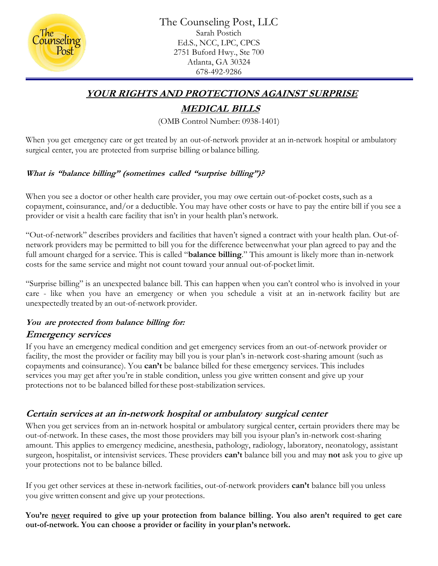

The Counseling Post, LLC Sarah Postich Ed.S., NCC, LPC, CPCS 2751 Buford Hwy., Ste 700 Atlanta, GA 30324 678-492-9286

### **YOUR RIGHTS AND PROTECTIONS AGAINST SURPRISE**

# **MEDICAL BILLS**

(OMB Control Number: 0938-1401)

When you get emergency care or get treated by an out-of-network provider at an in-network hospital or ambulatory surgical center, you are protected from surprise billing or balance billing.

### **What is "balance billing" (sometimes called "surprise billing")?**

When you see a doctor or other health care provider, you may owe certain out-of-pocket costs, such as a copayment, coinsurance, and/or a deductible. You may have other costs or have to pay the entire bill if you see a provider or visit a health care facility that isn't in your health plan's network.

"Out-of-network" describes providers and facilities that haven't signed a contract with your health plan. Out-ofnetwork providers may be permitted to bill you for the difference betweenwhat your plan agreed to pay and the full amount charged for a service. This is called "**balance billing**." This amount is likely more than in-network costs for the same service and might not count toward your annual out-of-pocket limit.

"Surprise billing" is an unexpected balance bill. This can happen when you can't control who is involved in your care - like when you have an emergency or when you schedule a visit at an in-network facility but are unexpectedly treated by an out-of-network provider.

# **You are protected from balance billing for:**

### **Emergency services**

If you have an emergency medical condition and get emergency services from an out-of-network provider or facility, the most the provider or facility may bill you is your plan's in-network cost-sharing amount (such as copayments and coinsurance). You **can't** be balance billed for these emergency services. This includes services you may get after you're in stable condition, unless you give written consent and give up your protections not to be balanced billed forthese post-stabilization services.

## **Certain services at an in-network hospital or ambulatory surgical center**

When you get services from an in-network hospital or ambulatory surgical center, certain providers there may be out-of-network. In these cases, the most those providers may bill you isyour plan's in-network cost-sharing amount. This applies to emergency medicine, anesthesia, pathology, radiology, laboratory, neonatology, assistant surgeon, hospitalist, or intensivist services. These providers **can't** balance bill you and may **not** ask you to give up your protections not to be balance billed.

If you get other services at these in-network facilities, out-of-network providers **can't** balance bill you unless you give written consent and give up your protections.

**You're never required to give up your protection from balance billing. You also aren't required to get care out-of-network. You can choose a provider or facility in your plan's network.**